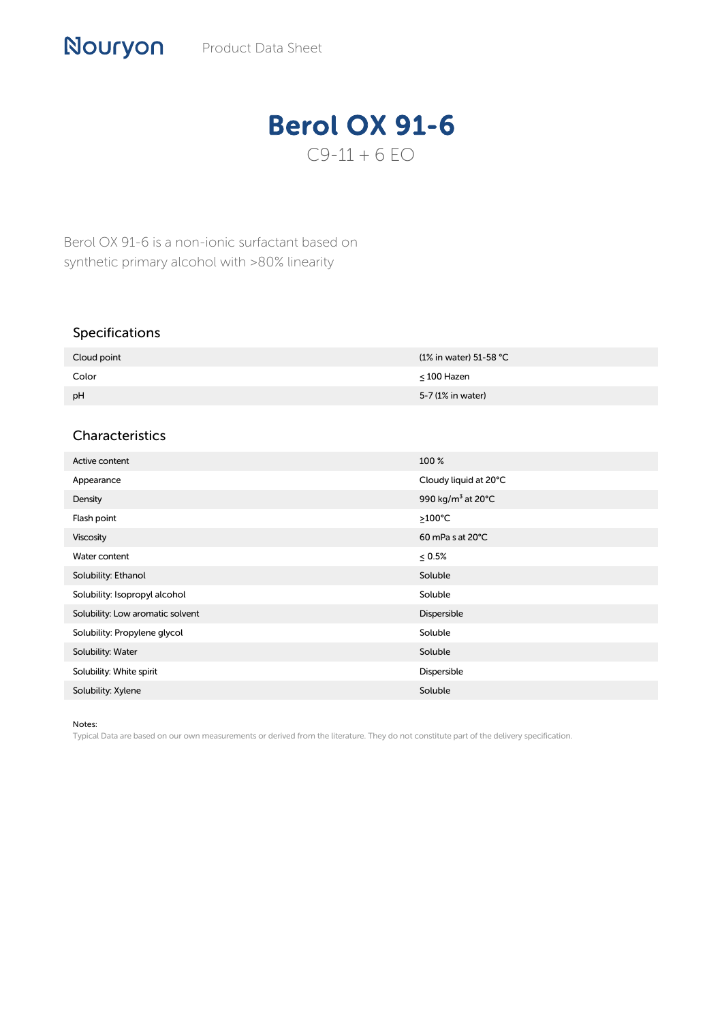## Berol OX 91-6  $C9 - 11 + 6 EO$

Berol OX 91-6 is a non-ionic surfactant based on synthetic primary alcohol with >80% linearity

## Specifications

| Cloud point | (1% in water) 51-58 °C |
|-------------|------------------------|
| Color       | $\leq 100$ Hazen       |
| pH          | 5-7 (1% in water)      |

## Characteristics

| Active content                   | 100 %                         |
|----------------------------------|-------------------------------|
| Appearance                       | Cloudy liquid at 20°C         |
| Density                          | 990 kg/m <sup>3</sup> at 20°C |
| Flash point                      | $\geq$ 100°C                  |
| <b>Viscosity</b>                 | $60$ mPa s at $20^{\circ}$ C  |
| Water content                    | $\leq 0.5\%$                  |
| Solubility: Ethanol              | Soluble                       |
| Solubility: Isopropyl alcohol    | Soluble                       |
| Solubility: Low aromatic solvent | Dispersible                   |
| Solubility: Propylene glycol     | Soluble                       |
| Solubility: Water                | Soluble                       |
| Solubility: White spirit         | Dispersible                   |
| Solubility: Xylene               | Soluble                       |

Notes:

Typical Data are based on our own measurements or derived from the literature. They do not constitute part of the delivery specification.